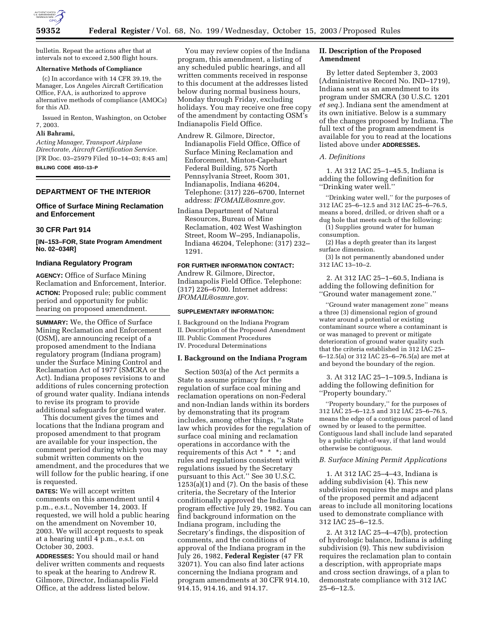

bulletin. Repeat the actions after that at intervals not to exceed 2,500 flight hours.

## **Alternative Methods of Compliance**

(c) In accordance with 14 CFR 39.19, the Manager, Los Angeles Aircraft Certification Office, FAA, is authorized to approve alternative methods of compliance (AMOCs) for this AD.

Issued in Renton, Washington, on October 7, 2003.

# **Ali Bahrami,**

*Acting Manager, Transport Airplane Directorate, Aircraft Certification Service.* [FR Doc. 03–25979 Filed 10–14–03; 8:45 am] **BILLING CODE 4910–13–P**

## **DEPARTMENT OF THE INTERIOR**

## **Office of Surface Mining Reclamation and Enforcement**

#### **30 CFR Part 914**

**[IN–153–FOR, State Program Amendment No. 02–034R]** 

## **Indiana Regulatory Program**

**AGENCY:** Office of Surface Mining Reclamation and Enforcement, Interior. **ACTION:** Proposed rule; public comment period and opportunity for public hearing on proposed amendment.

**SUMMARY:** We, the Office of Surface Mining Reclamation and Enforcement (OSM), are announcing receipt of a proposed amendment to the Indiana regulatory program (Indiana program) under the Surface Mining Control and Reclamation Act of 1977 (SMCRA or the Act). Indiana proposes revisions to and additions of rules concerning protection of ground water quality. Indiana intends to revise its program to provide additional safeguards for ground water.

This document gives the times and locations that the Indiana program and proposed amendment to that program are available for your inspection, the comment period during which you may submit written comments on the amendment, and the procedures that we will follow for the public hearing, if one is requested.

**DATES:** We will accept written comments on this amendment until 4 p.m., e.s.t., November 14, 2003. If requested, we will hold a public hearing on the amendment on November 10, 2003. We will accept requests to speak at a hearing until 4 p.m., e.s.t. on October 30, 2003.

**ADDRESSES:** You should mail or hand deliver written comments and requests to speak at the hearing to Andrew R. Gilmore, Director, Indianapolis Field Office, at the address listed below.

You may review copies of the Indiana program, this amendment, a listing of any scheduled public hearings, and all written comments received in response to this document at the addresses listed below during normal business hours, Monday through Friday, excluding holidays. You may receive one free copy of the amendment by contacting OSM's Indianapolis Field Office.

Andrew R. Gilmore, Director, Indianapolis Field Office, Office of Surface Mining Reclamation and Enforcement, Minton-Capehart Federal Building, 575 North Pennsylvania Street, Room 301, Indianapolis, Indiana 46204, Telephone: (317) 226–6700, Internet address: *IFOMAIL@osmre.gov*.

Indiana Department of Natural Resources, Bureau of Mine Reclamation, 402 West Washington Street, Room W–295, Indianapolis, Indiana 46204, Telephone: (317) 232– 1291.

# **FOR FURTHER INFORMATION CONTACT:**

Andrew R. Gilmore, Director, Indianapolis Field Office. Telephone: (317) 226–6700. Internet address: *IFOMAIL@osmre.gov*.

## **SUPPLEMENTARY INFORMATION:**

I. Background on the Indiana Program II. Description of the Proposed Amendment III. Public Comment Procedures IV. Procedural Determinations

## **I. Background on the Indiana Program**

Section 503(a) of the Act permits a State to assume primacy for the regulation of surface coal mining and reclamation operations on non-Federal and non-Indian lands within its borders by demonstrating that its program includes, among other things, ''a State law which provides for the regulation of surface coal mining and reclamation operations in accordance with the requirements of this Act \* \* \*; and rules and regulations consistent with regulations issued by the Secretary pursuant to this Act.'' See 30 U.S.C.  $1253(a)(1)$  and  $(7)$ . On the basis of these criteria, the Secretary of the Interior conditionally approved the Indiana program effective July 29, 1982. You can find background information on the Indiana program, including the Secretary's findings, the disposition of comments, and the conditions of approval of the Indiana program in the July 26, 1982, **Federal Register** (47 FR 32071). You can also find later actions concerning the Indiana program and program amendments at 30 CFR 914.10, 914.15, 914.16, and 914.17.

# **II. Description of the Proposed Amendment**

By letter dated September 3, 2003 (Administrative Record No. IND–1719), Indiana sent us an amendment to its program under SMCRA (30 U.S.C. 1201 *et seq.*). Indiana sent the amendment at its own initiative. Below is a summary of the changes proposed by Indiana. The full text of the program amendment is available for you to read at the locations listed above under **ADDRESSES.**

## *A. Definitions*

1. At 312 IAC 25–1–45.5, Indiana is adding the following definition for ''Drinking water well.''

''Drinking water well,'' for the purposes of 312 IAC 25–6–12.5 and 312 IAC 25–6–76.5, means a bored, drilled, or driven shaft or a dug hole that meets each of the following:

(1) Supplies ground water for human consumption.

(2) Has a depth greater than its largest surface dimension.

(3) Is not permanently abandoned under 312 IAC 13–10–2.

2. At 312 IAC 25–1–60.5, Indiana is adding the following definition for ''Ground water management zone.''

''Ground water management zone'' means a three (3) dimensional region of ground water around a potential or existing contaminant source where a contaminant is or was managed to prevent or mitigate deterioration of ground water quality such that the criteria established in 312 IAC 25– 6–12.5(a) or 312 IAC 25–6–76.5(a) are met at and beyond the boundary of the region.

3. At 312 IAC 25–1–109.5, Indiana is adding the following definition for ''Property boundary.''

''Property boundary,'' for the purposes of 312 IAC 25–6–12.5 and 312 IAC 25–6–76.5, means the edge of a contiguous parcel of land owned by or leased to the permittee. Contiguous land shall include land separated by a public right-of-way, if that land would otherwise be contiguous.

# *B. Surface Mining Permit Applications*

1. At 312 IAC 25–4–43, Indiana is adding subdivision (4). This new subdivision requires the maps and plans of the proposed permit and adjacent areas to include all monitoring locations used to demonstrate compliance with 312 IAC 25–6–12.5.

2. At 312 IAC 25–4–47(b), protection of hydrologic balance, Indiana is adding subdivision (9). This new subdivision requires the reclamation plan to contain a description, with appropriate maps and cross section drawings, of a plan to demonstrate compliance with 312 IAC 25–6–12.5.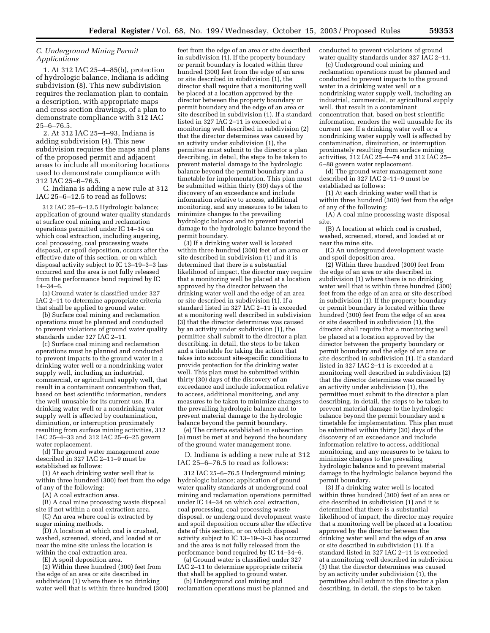# *C. Underground Mining Permit Applications*

1. At 312 IAC 25–4–85(b), protection of hydrologic balance, Indiana is adding subdivision (8). This new subdivision requires the reclamation plan to contain a description, with appropriate maps and cross section drawings, of a plan to demonstrate compliance with 312 IAC 25–6–76.5.

2. At 312 IAC 25–4–93, Indiana is adding subdivision (4). This new subdivision requires the maps and plans of the proposed permit and adjacent areas to include all monitoring locations used to demonstrate compliance with 312 IAC 25–6–76.5.

C. Indiana is adding a new rule at 312 IAC 25–6–12.5 to read as follows:

312 IAC 25–6–12.5 Hydrologic balance; application of ground water quality standards at surface coal mining and reclamation operations permitted under IC 14–34 on which coal extraction, including augering, coal processing, coal processing waste disposal, or spoil deposition, occurs after the effective date of this section, or on which disposal activity subject to IC 13–19–3–3 has occurred and the area is not fully released from the performance bond required by IC 14–34–6.

(a) Ground water is classified under 327 IAC 2–11 to determine appropriate criteria that shall be applied to ground water.

(b) Surface coal mining and reclamation operations must be planned and conducted to prevent violations of ground water quality standards under 327 IAC 2–11.

(c) Surface coal mining and reclamation operations must be planned and conducted to prevent impacts to the ground water in a drinking water well or a nondrinking water supply well, including an industrial, commercial, or agricultural supply well, that result in a contaminant concentration that, based on best scientific information, renders the well unusable for its current use. If a drinking water well or a nondrinking water supply well is affected by contamination, diminution, or interruption proximately resulting from surface mining activities, 312 IAC 25–4–33 and 312 IAC 25–6–25 govern water replacement.

(d) The ground water management zone described in 327 IAC 2–11–9 must be established as follows:

(1) At each drinking water well that is within three hundred (300) feet from the edge of any of the following:

(A) A coal extraction area.

(B) A coal mine processing waste disposal site if not within a coal extraction area.

(C) An area where coal is extracted by auger mining methods.

(D) A location at which coal is crushed, washed, screened, stored, and loaded at or near the mine site unless the location is within the coal extraction area.

(E) A spoil deposition area.

(2) Within three hundred (300) feet from the edge of an area or site described in subdivision (1) where there is no drinking water well that is within three hundred  $(300)$ 

feet from the edge of an area or site described in subdivision (1). If the property boundary or permit boundary is located within three hundred (300) feet from the edge of an area or site described in subdivision (1), the director shall require that a monitoring well be placed at a location approved by the director between the property boundary or permit boundary and the edge of an area or site described in subdivision (1). If a standard listed in 327 IAC 2–11 is exceeded at a monitoring well described in subdivision (2) that the director determines was caused by an activity under subdivision (1), the permittee must submit to the director a plan describing, in detail, the steps to be taken to prevent material damage to the hydrologic balance beyond the permit boundary and a timetable for implementation. This plan must be submitted within thirty (30) days of the discovery of an exceedance and include information relative to access, additional monitoring, and any measures to be taken to minimize changes to the prevailing hydrologic balance and to prevent material damage to the hydrologic balance beyond the permit boundary.

(3) If a drinking water well is located within three hundred (300) feet of an area or site described in subdivision (1) and it is determined that there is a substantial likelihood of impact, the director may require that a monitoring well be placed at a location approved by the director between the drinking water well and the edge of an area or site described in subdivision (1). If a standard listed in 327 IAC 2–11 is exceeded at a monitoring well described in subdivision (3) that the director determines was caused by an activity under subdivision (1), the permittee shall submit to the director a plan describing, in detail, the steps to be taken and a timetable for taking the action that takes into account site-specific conditions to provide protection for the drinking water well. This plan must be submitted within thirty (30) days of the discovery of an exceedance and include information relative to access, additional monitoring, and any measures to be taken to minimize changes to the prevailing hydrologic balance and to prevent material damage to the hydrologic balance beyond the permit boundary.

(e) The criteria established in subsection (a) must be met at and beyond the boundary of the ground water management zone.

D. Indiana is adding a new rule at 312 IAC 25–6–76.5 to read as follows:

312 IAC 25–6–76.5 Underground mining; hydrologic balance; application of ground water quality standards at underground coal mining and reclamation operations permitted under IC 14–34 on which coal extraction, coal processing, coal processing waste disposal, or underground development waste and spoil deposition occurs after the effective date of this section, or on which disposal activity subject to IC 13–19–3–3 has occurred and the area is not fully released from the performance bond required by IC 14–34–6.

(a) Ground water is classified under 327 IAC 2–11 to determine appropriate criteria that shall be applied to ground water.

(b) Underground coal mining and reclamation operations must be planned and conducted to prevent violations of ground water quality standards under 327 IAC 2–11.

(c) Underground coal mining and reclamation operations must be planned and conducted to prevent impacts to the ground water in a drinking water well or a nondrinking water supply well, including an industrial, commercial, or agricultural supply well, that result in a contaminant concentration that, based on best scientific information, renders the well unusable for its current use. If a drinking water well or a nondrinking water supply well is affected by contamination, diminution, or interruption proximately resulting from surface mining activities, 312 IAC 25–4–74 and 312 IAC 25– 6–88 govern water replacement.

(d) The ground water management zone described in 327 IAC 2–11–9 must be established as follows:

(1) At each drinking water well that is within three hundred (300) feet from the edge of any of the following:

(A) A coal mine processing waste disposal site.

(B) A location at which coal is crushed, washed, screened, stored, and loaded at or near the mine site.

(C) An underground development waste and spoil deposition area.

(2) Within three hundred (300) feet from the edge of an area or site described in subdivision (1) where there is no drinking water well that is within three hundred (300) feet from the edge of an area or site described in subdivision (1). If the property boundary or permit boundary is located within three hundred (300) feet from the edge of an area or site described in subdivision (1), the director shall require that a monitoring well be placed at a location approved by the director between the property boundary or permit boundary and the edge of an area or site described in subdivision (1). If a standard listed in 327 IAC 2–11 is exceeded at a monitoring well described in subdivision (2) that the director determines was caused by an activity under subdivision (1), the permittee must submit to the director a plan describing, in detail, the steps to be taken to prevent material damage to the hydrologic balance beyond the permit boundary and a timetable for implementation. This plan must be submitted within thirty (30) days of the discovery of an exceedance and include information relative to access, additional monitoring, and any measures to be taken to minimize changes to the prevailing hydrologic balance and to prevent material damage to the hydrologic balance beyond the permit boundary.

(3) If a drinking water well is located within three hundred (300) feet of an area or site described in subdivision (1) and it is determined that there is a substantial likelihood of impact, the director may require that a monitoring well be placed at a location approved by the director between the drinking water well and the edge of an area or site described in subdivision (1). If a standard listed in 327 IAC 2–11 is exceeded at a monitoring well described in subdivision (3) that the director determines was caused by an activity under subdivision (1), the permittee shall submit to the director a plan describing, in detail, the steps to be taken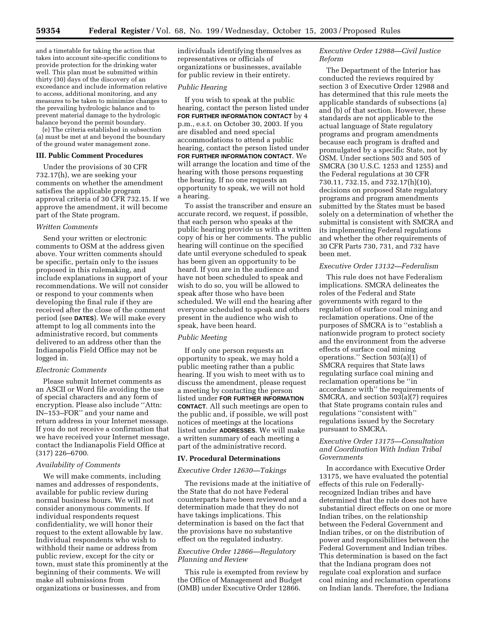and a timetable for taking the action that takes into account site-specific conditions to provide protection for the drinking water well. This plan must be submitted within thirty (30) days of the discovery of an exceedance and include information relative to access, additional monitoring, and any measures to be taken to minimize changes to the prevailing hydrologic balance and to prevent material damage to the hydrologic balance beyond the permit boundary.

(e) The criteria established in subsection (a) must be met at and beyond the boundary of the ground water management zone.

## **III. Public Comment Procedures**

Under the provisions of 30 CFR 732.17(h), we are seeking your comments on whether the amendment satisfies the applicable program approval criteria of 30 CFR 732.15. If we approve the amendment, it will become part of the State program.

## *Written Comments*

Send your written or electronic comments to OSM at the address given above. Your written comments should be specific, pertain only to the issues proposed in this rulemaking, and include explanations in support of your recommendations. We will not consider or respond to your comments when developing the final rule if they are received after the close of the comment period (see **DATES**). We will make every attempt to log all comments into the administrative record, but comments delivered to an address other than the Indianapolis Field Office may not be logged in.

#### *Electronic Comments*

Please submit Internet comments as an ASCII or Word file avoiding the use of special characters and any form of encryption. Please also include ''Attn: IN–153–FOR'' and your name and return address in your Internet message. If you do not receive a confirmation that we have received your Internet message, contact the Indianapolis Field Office at (317) 226–6700.

### *Availability of Comments*

We will make comments, including names and addresses of respondents, available for public review during normal business hours. We will not consider anonymous comments. If individual respondents request confidentiality, we will honor their request to the extent allowable by law. Individual respondents who wish to withhold their name or address from public review, except for the city or town, must state this prominently at the beginning of their comments. We will make all submissions from organizations or businesses, and from

individuals identifying themselves as representatives or officials of organizations or businesses, available for public review in their entirety.

## *Public Hearing*

If you wish to speak at the public hearing, contact the person listed under **FOR FURTHER INFORMATION CONTACT** by 4 p.m., e.s.t. on October 30, 2003. If you are disabled and need special accommodations to attend a public hearing, contact the person listed under **FOR FURTHER INFORMATION CONTACT**. We will arrange the location and time of the hearing with those persons requesting the hearing. If no one requests an opportunity to speak, we will not hold a hearing.

To assist the transcriber and ensure an accurate record, we request, if possible, that each person who speaks at the public hearing provide us with a written copy of his or her comments. The public hearing will continue on the specified date until everyone scheduled to speak has been given an opportunity to be heard. If you are in the audience and have not been scheduled to speak and wish to do so, you will be allowed to speak after those who have been scheduled. We will end the hearing after everyone scheduled to speak and others present in the audience who wish to speak, have been heard.

## *Public Meeting*

If only one person requests an opportunity to speak, we may hold a public meeting rather than a public hearing. If you wish to meet with us to discuss the amendment, please request a meeting by contacting the person listed under **FOR FURTHER INFORMATION CONTACT**. All such meetings are open to the public and, if possible, we will post notices of meetings at the locations listed under **ADDRESSES**. We will make a written summary of each meeting a part of the administrative record.

#### **IV. Procedural Determinations**

### *Executive Order 12630—Takings*

The revisions made at the initiative of the State that do not have Federal counterparts have been reviewed and a determination made that they do not have takings implications. This determination is based on the fact that the provisions have no substantive effect on the regulated industry.

# *Executive Order 12866—Regulatory Planning and Review*

This rule is exempted from review by the Office of Management and Budget (OMB) under Executive Order 12866.

# *Executive Order 12988—Civil Justice Reform*

The Department of the Interior has conducted the reviews required by section 3 of Executive Order 12988 and has determined that this rule meets the applicable standards of subsections (a) and (b) of that section. However, these standards are not applicable to the actual language of State regulatory programs and program amendments because each program is drafted and promulgated by a specific State, not by OSM. Under sections 503 and 505 of SMCRA (30 U.S.C. 1253 and 1255) and the Federal regulations at 30 CFR 730.11, 732.15, and 732.17(h)(10), decisions on proposed State regulatory programs and program amendments submitted by the States must be based solely on a determination of whether the submittal is consistent with SMCRA and its implementing Federal regulations and whether the other requirements of 30 CFR Parts 730, 731, and 732 have been met.

## *Executive Order 13132—Federalism*

This rule does not have Federalism implications. SMCRA delineates the roles of the Federal and State governments with regard to the regulation of surface coal mining and reclamation operations. One of the purposes of SMCRA is to ''establish a nationwide program to protect society and the environment from the adverse effects of surface coal mining operations.'' Section 503(a)(1) of SMCRA requires that State laws regulating surface coal mining and reclamation operations be ''in accordance with'' the requirements of SMCRA, and section 503(a)(7) requires that State programs contain rules and regulations ''consistent with'' regulations issued by the Secretary pursuant to SMCRA.

# *Executive Order 13175—Consultation and Coordination With Indian Tribal Governments*

In accordance with Executive Order 13175, we have evaluated the potential effects of this rule on Federallyrecognized Indian tribes and have determined that the rule does not have substantial direct effects on one or more Indian tribes, on the relationship between the Federal Government and Indian tribes, or on the distribution of power and responsibilities between the Federal Government and Indian tribes. This determination is based on the fact that the Indiana program does not regulate coal exploration and surface coal mining and reclamation operations on Indian lands. Therefore, the Indiana